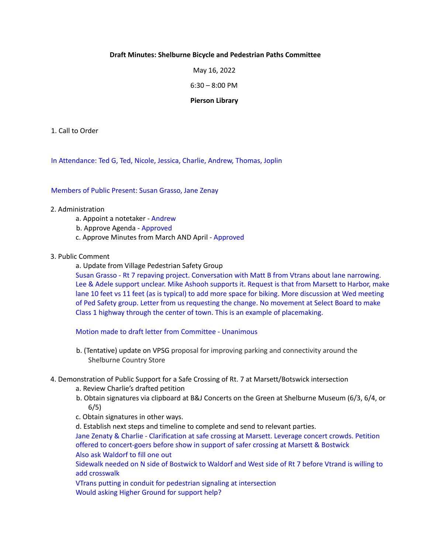### **Draft Minutes: Shelburne Bicycle and Pedestrian Paths Committee**

May 16, 2022

6:30 – 8:00 PM

#### **Pierson Library**

1. Call to Order

In Attendance: Ted G, Ted, Nicole, Jessica, Charlie, Andrew, Thomas, Joplin

Members of Public Present: Susan Grasso, Jane Zenay

### 2. Administration

- a. Appoint a notetaker Andrew
- b. Approve Agenda Approved
- c. Approve Minutes from March AND April Approved
- 3. Public Comment

a. Update from Village Pedestrian Safety Group

Susan Grasso - Rt 7 repaving project. Conversation with Matt B from Vtrans about lane narrowing. Lee & Adele support unclear. Mike Ashooh supports it. Request is that from Marsett to Harbor, make lane 10 feet vs 11 feet (as is typical) to add more space for biking. More discussion at Wed meeting of Ped Safety group. Letter from us requesting the change. No movement at Select Board to make Class 1 highway through the center of town. This is an example of placemaking.

Motion made to draft letter from Committee - Unanimous

- b. (Tentative) update on VPSG proposal for improving parking and connectivity around the Shelburne Country Store
- 4. Demonstration of Public Support for a Safe Crossing of Rt. 7 at Marsett/Botswick intersection
	- a. Review Charlie's drafted petition
	- b. Obtain signatures via clipboard at B&J Concerts on the Green at Shelburne Museum (6/3, 6/4, or 6/5)

c. Obtain signatures in other ways.

d. Establish next steps and timeline to complete and send to relevant parties.

Jane Zenaty & Charlie - Clarification at safe crossing at Marsett. Leverage concert crowds. Petition offered to concert-goers before show in support of safer crossing at Marsett & Bostwick Also ask Waldorf to fill one out

Sidewalk needed on N side of Bostwick to Waldorf and West side of Rt 7 before Vtrand is willing to add crosswalk

VTrans putting in conduit for pedestrian signaling at intersection Would asking Higher Ground for support help?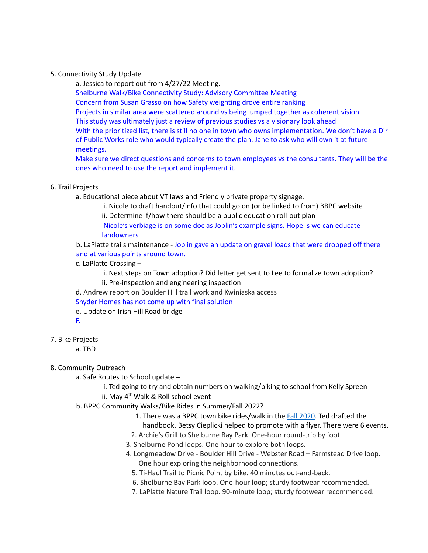### 5. Connectivity Study Update

a. Jessica to report out from 4/27/22 Meeting.

Shelburne Walk/Bike Connectivity Study: Advisory Committee Meeting

Concern from Susan Grasso on how Safety weighting drove entire ranking

Projects in similar area were scattered around vs being lumped together as coherent vision

This study was ultimately just a review of previous studies vs a visionary look ahead

With the prioritized list, there is still no one in town who owns implementation. We don't have a Dir of Public Works role who would typically create the plan. Jane to ask who will own it at future meetings.

Make sure we direct questions and concerns to town employees vs the consultants. They will be the ones who need to use the report and implement it.

# 6. Trail Projects

a. Educational piece about VT laws and Friendly private property signage.

i. Nicole to draft handout/info that could go on (or be linked to from) BBPC website

ii. Determine if/how there should be a public education roll-out plan

Nicole's verbiage is on some doc as Joplin's example signs. Hope is we can educate **landowners** 

b. LaPlatte trails maintenance - Joplin gave an update on gravel loads that were dropped off there and at various points around town.

c. LaPlatte Crossing –

i. Next steps on Town adoption? Did letter get sent to Lee to formalize town adoption?

ii. Pre-inspection and engineering inspection

d. Andrew report on Boulder Hill trail work and Kwiniaska access

Snyder Homes has not come up with final solution

e. Update on Irish Hill Road bridge

F.

7. Bike Projects

a. TBD

8. Community Outreach

- a. Safe Routes to School update
	- i. Ted going to try and obtain numbers on walking/biking to school from Kelly Spreen
	- ii. May 4<sup>th</sup> Walk & Roll school event
- b. BPPC Community Walks/Bike Rides in Summer/Fall 2022?
	- 1. There was a BPPC town bike rides/walk in the Fall 2020. Ted drafted the handbook. Betsy Cieplicki helped to promote with a flyer. There were 6 events.
	- 2. Archie's Grill to Shelburne Bay Park. One-hour round-trip by foot.
	- 3. Shelburne Pond loops. One hour to explore both loops.
	- 4. Longmeadow Drive Boulder Hill Drive Webster Road Farmstead Drive loop. One hour exploring the neighborhood connections.
		- 5. Ti-Haul Trail to Picnic Point by bike. 40 minutes out-and-back.
		- 6. Shelburne Bay Park loop. One-hour loop; sturdy footwear recommended.
		- 7. LaPlatte Nature Trail loop. 90-minute loop; sturdy footwear recommended.